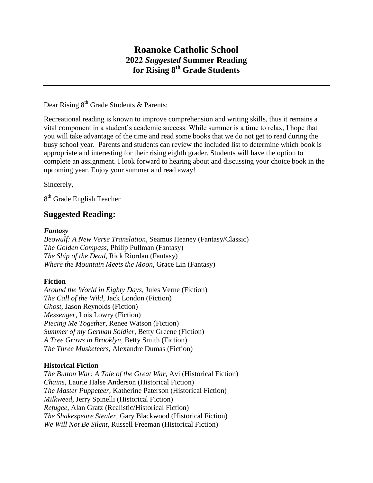# **Roanoke Catholic School 2022** *Suggested* **Summer Reading for Rising 8th Grade Students**

Dear Rising  $8^{th}$  Grade Students & Parents:

Recreational reading is known to improve comprehension and writing skills, thus it remains a vital component in a student's academic success. While summer is a time to relax, I hope that you will take advantage of the time and read some books that we do not get to read during the busy school year. Parents and students can review the included list to determine which book is appropriate and interesting for their rising eighth grader. Students will have the option to complete an assignment. I look forward to hearing about and discussing your choice book in the upcoming year. Enjoy your summer and read away!

Sincerely,

8<sup>th</sup> Grade English Teacher

## **Suggested Reading:**

#### *Fantasy*

*Beowulf: A New Verse Translation*, Seamus Heaney (Fantasy/Classic) *The Golden Compass*, Philip Pullman (Fantasy) *The Ship of the Dead*, Rick Riordan (Fantasy) *Where the Mountain Meets the Moon*, Grace Lin (Fantasy)

#### **Fiction**

*Around the World in Eighty Days,* Jules Verne (Fiction) *The Call of the Wild,* Jack London (Fiction) *Ghost,* Jason Reynolds (Fiction) *Messenger,* Lois Lowry (Fiction) *Piecing Me Together,* Renee Watson (Fiction) *Summer of my German Soldier,* Betty Greene (Fiction) *A Tree Grows in Brooklyn,* Betty Smith (Fiction) *The Three Musketeers,* Alexandre Dumas (Fiction)

#### **Historical Fiction**

*The Button War: A Tale of the Great War,* Avi (Historical Fiction) *Chains,* Laurie Halse Anderson (Historical Fiction) *The Master Puppeteer,* Katherine Paterson (Historical Fiction) *Milkweed,* Jerry Spinelli (Historical Fiction) *Refugee,* Alan Gratz (Realistic/Historical Fiction) *The Shakespeare Stealer,* Gary Blackwood (Historical Fiction) *We Will Not Be Silent*, Russell Freeman (Historical Fiction)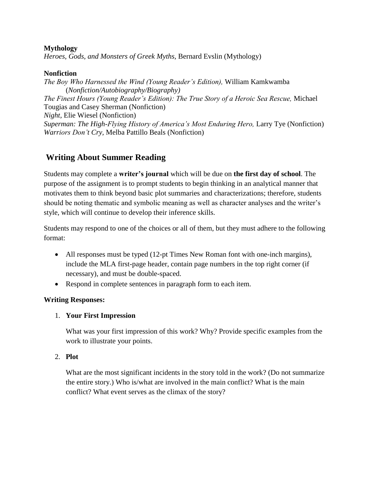#### **Mythology**

*Heroes, Gods, and Monsters of Greek Myths,* Bernard Evslin (Mythology)

### **Nonfiction**

*The Boy Who Harnessed the Wind (Young Reader's Edition),* William Kamkwamba (*Nonfiction/Autobiography/Biography) The Finest Hours (Young Reader's Edition): The True Story of a Heroic Sea Rescue,* Michael Tougias and Casey Sherman (Nonfiction) *Night,* Elie Wiesel (Nonfiction) *Superman: The High-Flying History of America's Most Enduring Hero,* Larry Tye (Nonfiction) *Warriors Don't Cry,* Melba Pattillo Beals (Nonfiction)

## **Writing About Summer Reading**

Students may complete a **writer's journal** which will be due on **the first day of school**. The purpose of the assignment is to prompt students to begin thinking in an analytical manner that motivates them to think beyond basic plot summaries and characterizations; therefore, students should be noting thematic and symbolic meaning as well as character analyses and the writer's style, which will continue to develop their inference skills.

Students may respond to one of the choices or all of them, but they must adhere to the following format:

- All responses must be typed (12-pt Times New Roman font with one-inch margins), include the MLA first-page header, contain page numbers in the top right corner (if necessary), and must be double-spaced.
- Respond in complete sentences in paragraph form to each item.

## **Writing Responses:**

1. **Your First Impression**

What was your first impression of this work? Why? Provide specific examples from the work to illustrate your points.

2. **Plot**

What are the most significant incidents in the story told in the work? (Do not summarize the entire story.) Who is/what are involved in the main conflict? What is the main conflict? What event serves as the climax of the story?